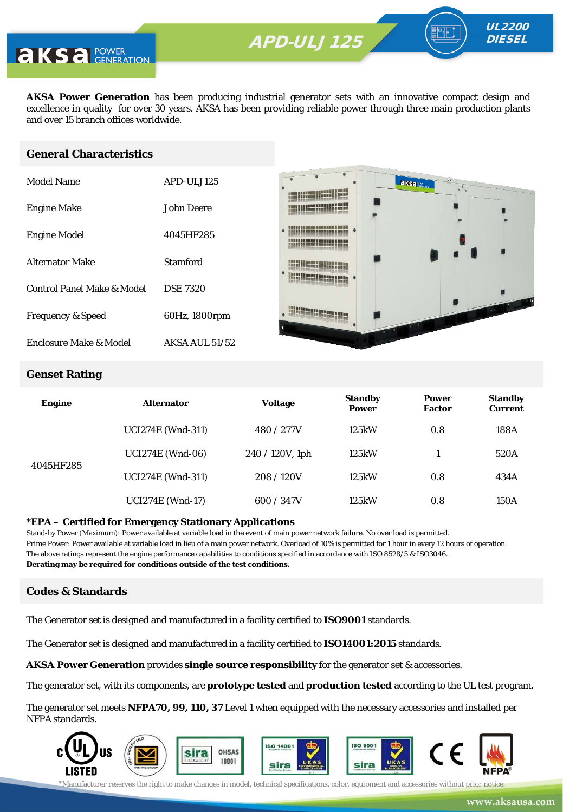**AKSA Power Generation** has been producing industrial generator sets with an innovative compact design and excellence in quality for over 30 years. AKSA has been providing reliable power through three main production plants and over 15 branch offices worldwide.

#### **General Characteristics**

| Model Name                   | APD-ULJ125            |
|------------------------------|-----------------------|
| <b>Engine Make</b>           | John Deere            |
| <b>Engine Model</b>          | 4045HF285             |
| <b>Alternator Make</b>       | Stamford              |
| Control Panel Make & Model   | <b>DSE 7320</b>       |
| <b>Frequency &amp; Speed</b> | 60Hz, 1800rpm         |
| Enclosure Make & Model       | <b>AKSA AUL 51/52</b> |



UL2200 **DIESEL** 

#### **Genset Rating**

| <b>Engine</b> | <b>Alternator</b>        | <b>Voltage</b>     | <b>Standby</b><br><b>Power</b> | <b>Power</b><br><b>Factor</b> | <b>Standby</b><br><b>Current</b> |
|---------------|--------------------------|--------------------|--------------------------------|-------------------------------|----------------------------------|
|               | <b>UCI274E</b> (Wnd-311) | 480 / 277V         | 125kW                          | 0.8                           | 188A                             |
| 4045HF285     | <b>UCI274E</b> (Wnd-06)  | $240 / 120V$ , 1ph | 125kW                          |                               | 520A                             |
|               | <b>UCI274E</b> (Wnd-311) | 208/120V           | 125kW                          | 0.8                           | 434A                             |
|               | <b>UCI274E (Wnd-17)</b>  | 600 / 347V         | 125kW                          | 0.8                           | 150A                             |

#### **\*EPA – Certified for Emergency Stationary Applications**

Stand-by Power (Maximum): Power available at variable load in the event of main power network failure. No over load is permitted. Prime Power: Power available at variable load in lieu of a main power network. Overload of 10% is permitted for 1 hour in every 12 hours of operation. The above ratings represent the engine performance capabilities to conditions specified in accordance with ISO 8528/5 & ISO3046. **Derating may be required for conditions outside of the test conditions.**

#### **Codes & Standards**

The Generator set is designed and manufactured in a facility certified to **ISO9001** standards.

The Generator set is designed and manufactured in a facility certified to **ISO14001:2015** standards.

**AKSA Power Generation** provides **single source responsibility** for the generator set & accessories.

The generator set, with its components, are **prototype tested** and **production tested** according to the UL test program.

The generator set meets **NFPA70, 99, 110, 37** Level 1 when equipped with the necessary accessories and installed per NFPA standards.

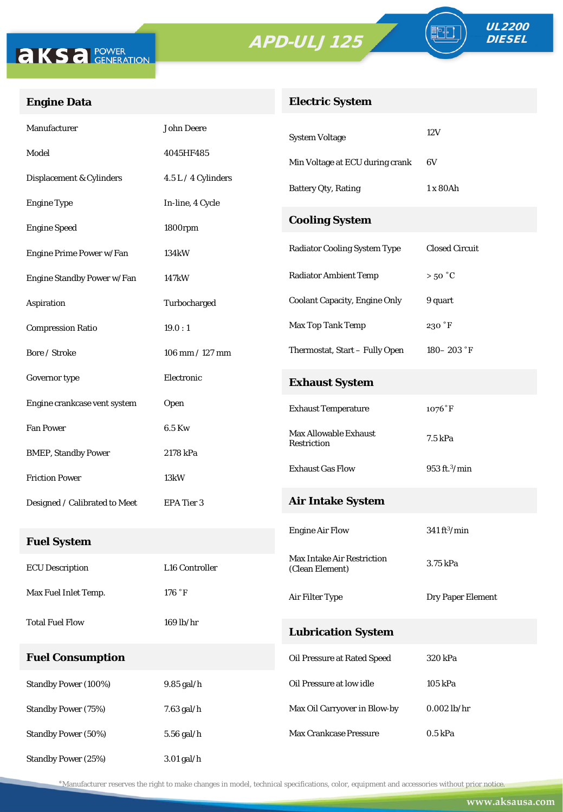



FO

## **Engine Data**

## **Electric System**

| Manufacturer                  | <b>John Deere</b>   | <b>System Voltage</b>                                | 12V                       |  |
|-------------------------------|---------------------|------------------------------------------------------|---------------------------|--|
| Model                         | 4045HF485           | Min Voltage at ECU during crank                      | 6V                        |  |
| Displacement & Cylinders      | 4.5 L / 4 Cylinders | <b>Battery Qty, Rating</b>                           | 1 x 80Ah                  |  |
| <b>Engine Type</b>            | In-line, 4 Cycle    |                                                      |                           |  |
| <b>Engine Speed</b>           | 1800rpm             | <b>Cooling System</b>                                |                           |  |
| Engine Prime Power w/Fan      | 134kW               | <b>Radiator Cooling System Type</b>                  | <b>Closed Circuit</b>     |  |
| Engine Standby Power w/Fan    | 147kW               | <b>Radiator Ambient Temp</b>                         | $>50\degree C$            |  |
| Aspiration                    | Turbocharged        | <b>Coolant Capacity, Engine Only</b>                 | 9 quart                   |  |
| <b>Compression Ratio</b>      | 19.0:1              | Max Top Tank Temp                                    | 230 °F                    |  |
| Bore / Stroke                 | 106 mm / 127 mm     | Thermostat, Start - Fully Open                       | 180 – 203 $\degree$ F     |  |
| Governor type                 | Electronic          | <b>Exhaust System</b>                                |                           |  |
| Engine crankcase vent system  | Open                | <b>Exhaust Temperature</b>                           | $1076°$ F                 |  |
| <b>Fan Power</b>              | 6.5 Kw              | <b>Max Allowable Exhaust</b>                         | 7.5 kPa                   |  |
| <b>BMEP, Standby Power</b>    | 2178 kPa            | Restriction                                          |                           |  |
| <b>Friction Power</b>         | 13kW                | <b>Exhaust Gas Flow</b>                              | 953 ft. <sup>3</sup> /min |  |
| Designed / Calibrated to Meet | EPA Tier 3          | <b>Air Intake System</b>                             |                           |  |
| <b>Fuel System</b>            |                     | <b>Engine Air Flow</b>                               | $341\,\mathrm{ft^3/min}$  |  |
| <b>ECU Description</b>        | L16 Controller      | <b>Max Intake Air Restriction</b><br>(Clean Element) | 3.75 kPa                  |  |
| Max Fuel Inlet Temp.          | 176 °F              | Air Filter Type                                      | Dry Paper Element         |  |
| <b>Total Fuel Flow</b>        | 169 lb/hr           |                                                      |                           |  |
|                               |                     | <b>Lubrication System</b>                            |                           |  |
| <b>Fuel Consumption</b>       |                     | Oil Pressure at Rated Speed                          | 320 kPa                   |  |
| Standby Power (100%)          | 9.85 gal/h          | Oil Pressure at low idle                             | 105 kPa                   |  |
| <b>Standby Power (75%)</b>    | $7.63$ gal/h $\,$   | Max Oil Carryover in Blow-by                         | $0.002$ lb/hr             |  |
| Standby Power (50%)           | 5.56 gal/h          | Max Crankcase Pressure                               | $0.5$ kPa                 |  |
| Standby Power (25%)           | 3.01 gal/h          |                                                      |                           |  |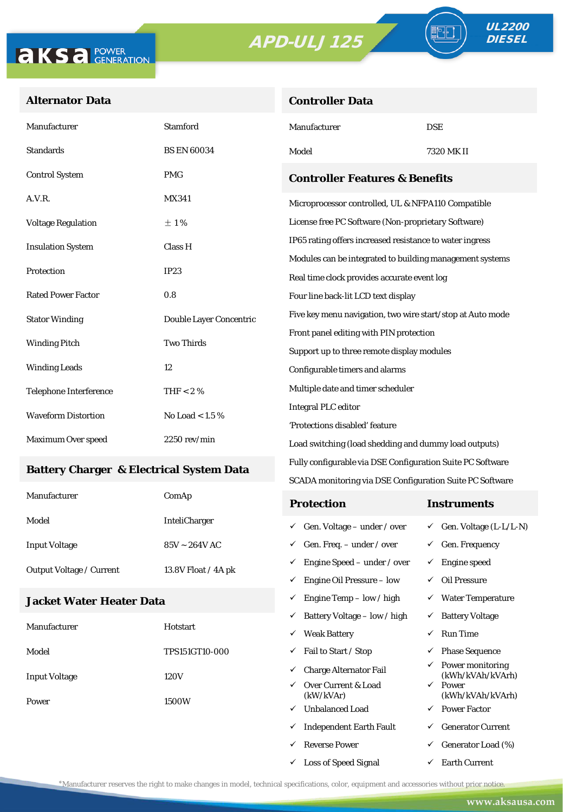**Controller Data**



#### **Alternator Data**

| Manufacturer                              | <b>Stamford</b>         | Manufacturer                                               | <b>DSE</b> |  |
|-------------------------------------------|-------------------------|------------------------------------------------------------|------------|--|
| <b>Standards</b>                          | <b>BS EN 60034</b>      | Model                                                      | 7320 MK II |  |
| <b>Control System</b>                     | <b>PMG</b>              | <b>Controller Features &amp; Benefits</b>                  |            |  |
| A.V.R.                                    | <b>MX341</b>            | Microprocessor controlled, UL & NFPA110 Compatible         |            |  |
| <b>Voltage Regulation</b>                 | $\pm 1\%$               | License free PC Software (Non-proprietary Software)        |            |  |
| <b>Insulation System</b>                  | Class H                 | IP65 rating offers increased resistance to water ingress   |            |  |
|                                           | <b>IP23</b>             | Modules can be integrated to building management systems   |            |  |
| Protection                                |                         | Real time clock provides accurate event log                |            |  |
| <b>Rated Power Factor</b>                 | 0.8                     | Four line back-lit LCD text display                        |            |  |
| <b>Stator Winding</b>                     | Double Layer Concentric | Five key menu navigation, two wire start/stop at Auto mode |            |  |
|                                           |                         | Front panel editing with PIN protection                    |            |  |
| <b>Two Thirds</b><br><b>Winding Pitch</b> |                         | Support up to three remote display modules                 |            |  |
| <b>Winding Leads</b>                      | 12                      | Configurable timers and alarms                             |            |  |
| <b>Telephone Interference</b>             | THF $< 2 \%$            | Multiple date and timer scheduler                          |            |  |
| <b>Waveform Distortion</b>                | No Load $< 1.5 \%$      | <b>Integral PLC editor</b>                                 |            |  |
|                                           |                         | 'Protections disabled' feature                             |            |  |
| Maximum Over speed                        | $2250$ rev/min          | Load switching (load shedding and dummy load outputs)      |            |  |

#### **Battery Charger & Electrical System Data**

| Manufacturer                    | ComAp                | <b>Protection</b>                         | Instruments                         |
|---------------------------------|----------------------|-------------------------------------------|-------------------------------------|
| Model                           | <b>InteliCharger</b> | $\checkmark$ Gen. Voltage – under / over  | $\checkmark$ Gen. Voltage (L-L/L-N) |
| <b>Input Voltage</b>            | $85V - 264V$ AC      | $\checkmark$ Gen. Freq. – under / over    | $\checkmark$ Gen. Frequency         |
| <b>Output Voltage / Current</b> | 13.8V Float / 4A pk  | $\checkmark$ Engine Speed – under / over  | Engine speed                        |
|                                 |                      | Engine Oil Pressure – low<br>$\checkmark$ | Oil Pressure                        |

Fully configurable via DSE Configuration Suite PC Software SCADA monitoring via DSE Configuration Suite PC Software

 $\checkmark$  Engine Temp – low / high  $\checkmark$  Water Temperature

 $\checkmark$  Loss of Speed Signal  $\checkmark$  Earth Current

#### **Jacket Water Heater Data**

|                      |                       | ✓ | Battery Voltage – low / high     | $\checkmark$ | <b>Battery Voltage</b>               |
|----------------------|-----------------------|---|----------------------------------|--------------|--------------------------------------|
| Manufacturer         | Hotstart              | ✓ | <b>Weak Battery</b>              | ✓            | <b>Run Time</b>                      |
| Model                | <b>TPS151GT10-000</b> | ✓ | Fail to Start / Stop             | ✓            | <b>Phase Sequence</b>                |
| <b>Input Voltage</b> | 120V                  | ✓ | <b>Charge Alternator Fail</b>    | ✓            | Power monitoring<br>(kWh/kVAh/kVArh) |
|                      | ✓<br>1500W<br>✓       |   | Over Current & Load<br>(kW/kVAr) | $\checkmark$ | Power<br>(kWh/kVAh/kVArh)            |
| Power                |                       |   | <b>Unbalanced Load</b>           | $\checkmark$ | <b>Power Factor</b>                  |
|                      |                       | ✓ | <b>Independent Earth Fault</b>   | ✓            | <b>Generator Current</b>             |
|                      |                       |   | <b>Reverse Power</b>             | ✓            | Generator Load (%)                   |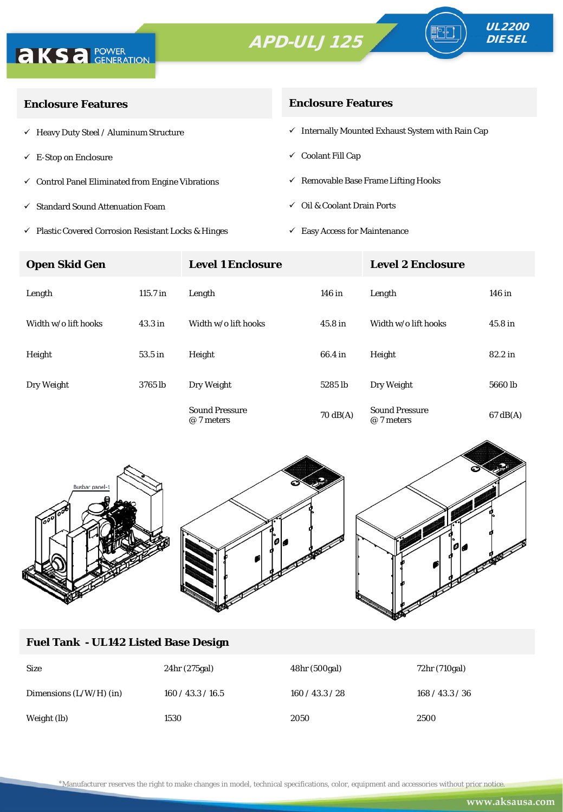



∘⊪

| <b>Enclosure Features</b>                                    | <b>Enclosure Features</b>                                    |  |  |
|--------------------------------------------------------------|--------------------------------------------------------------|--|--|
| $\checkmark$ Heavy Duty Steel / Aluminum Structure           | $\checkmark$ Internally Mounted Exhaust System with Rain Cap |  |  |
| $\checkmark$ E-Stop on Enclosure                             | $\checkmark$ Coolant Fill Cap                                |  |  |
| $\checkmark$ Control Panel Eliminated from Engine Vibrations | $\checkmark$ Removable Base Frame Lifting Hooks              |  |  |
| ✓ Standard Sound Attenuation Foam                            | $\checkmark$ Oil & Coolant Drain Ports                       |  |  |
|                                                              |                                                              |  |  |

 $\checkmark$ Plastic Covered Corrosion Resistant Locks & Hinges

 $\checkmark$  Easy Access for Maintenance

| <b>Open Skid Gen</b> |                    | <b>Level 1 Enclosure</b>            |                    | <b>Level 2 Enclosure</b>            |                    |
|----------------------|--------------------|-------------------------------------|--------------------|-------------------------------------|--------------------|
| Length               | $115.7$ in         | Length                              | 146 in             | Length                              | 146 in             |
| Width w/o lift hooks | 43.3 <sub>in</sub> | Width w/o lift hooks                | 45.8 <sub>in</sub> | Width w/o lift hooks                | 45.8 <sub>in</sub> |
| Height               | 53.5 in            | Height                              | 66.4 in            | Height                              | 82.2 in            |
| Dry Weight           | 3765 lb            | Dry Weight                          | 5285 lb            | Dry Weight                          | 5660 lb            |
|                      |                    | <b>Sound Pressure</b><br>@ 7 meters | $70 \text{ dB}(A)$ | <b>Sound Pressure</b><br>@ 7 meters | $67 \text{ dB}(A)$ |



### **Fuel Tank - UL142 Listed Base Design**

| <b>Size</b>               | 24hr (275gal)     | 48hr (500gal) | 72hr (710gal)   |
|---------------------------|-------------------|---------------|-----------------|
| Dimensions $(L/W/H)$ (in) | 160 / 43.3 / 16.5 | 160/43.3/28   | 168 / 43.3 / 36 |
| Weight (lb)               | 1530              | 2050          | 2500            |